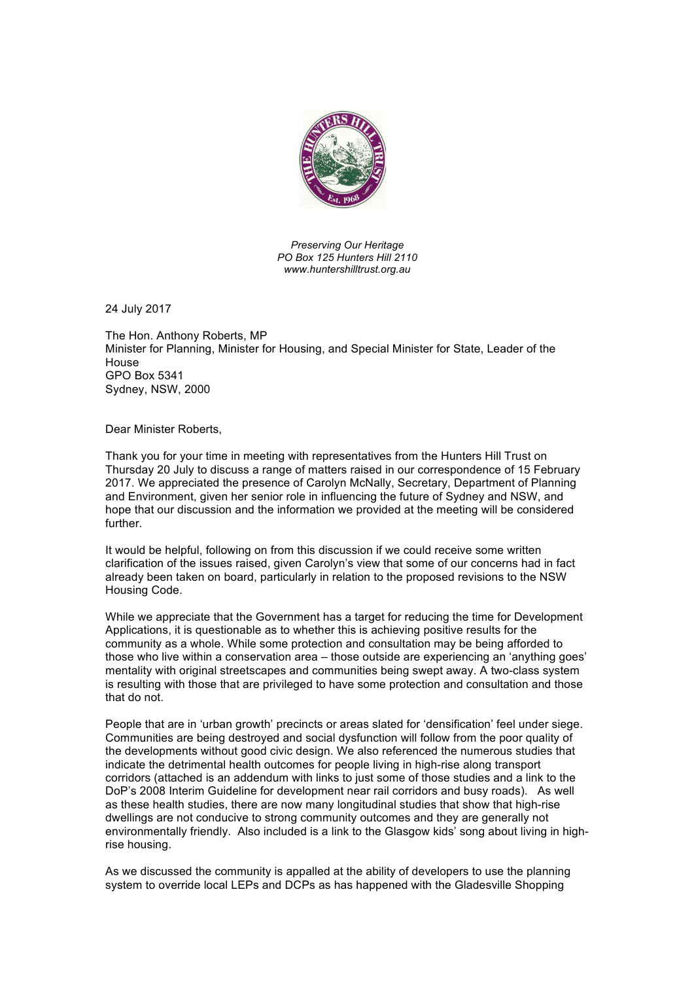

*Preserving Our Heritage PO Box 125 Hunters Hill 2110 www.huntershilltrust.org.au*

24 July 2017

The Hon. Anthony Roberts, MP Minister for Planning, Minister for Housing, and Special Minister for State, Leader of the House GPO Box 5341 Sydney, NSW, 2000

Dear Minister Roberts,

Thank you for your time in meeting with representatives from the Hunters Hill Trust on Thursday 20 July to discuss a range of matters raised in our correspondence of 15 February 2017. We appreciated the presence of Carolyn McNally, Secretary, Department of Planning and Environment, given her senior role in influencing the future of Sydney and NSW, and hope that our discussion and the information we provided at the meeting will be considered further.

It would be helpful, following on from this discussion if we could receive some written clarification of the issues raised, given Carolyn's view that some of our concerns had in fact already been taken on board, particularly in relation to the proposed revisions to the NSW Housing Code.

While we appreciate that the Government has a target for reducing the time for Development Applications, it is questionable as to whether this is achieving positive results for the community as a whole. While some protection and consultation may be being afforded to those who live within a conservation area – those outside are experiencing an 'anything goes' mentality with original streetscapes and communities being swept away. A two-class system is resulting with those that are privileged to have some protection and consultation and those that do not.

People that are in 'urban growth' precincts or areas slated for 'densification' feel under siege. Communities are being destroyed and social dysfunction will follow from the poor quality of the developments without good civic design. We also referenced the numerous studies that indicate the detrimental health outcomes for people living in high-rise along transport corridors (attached is an addendum with links to just some of those studies and a link to the DoP's 2008 Interim Guideline for development near rail corridors and busy roads). As well as these health studies, there are now many longitudinal studies that show that high-rise dwellings are not conducive to strong community outcomes and they are generally not environmentally friendly. Also included is a link to the Glasgow kids' song about living in highrise housing.

As we discussed the community is appalled at the ability of developers to use the planning system to override local LEPs and DCPs as has happened with the Gladesville Shopping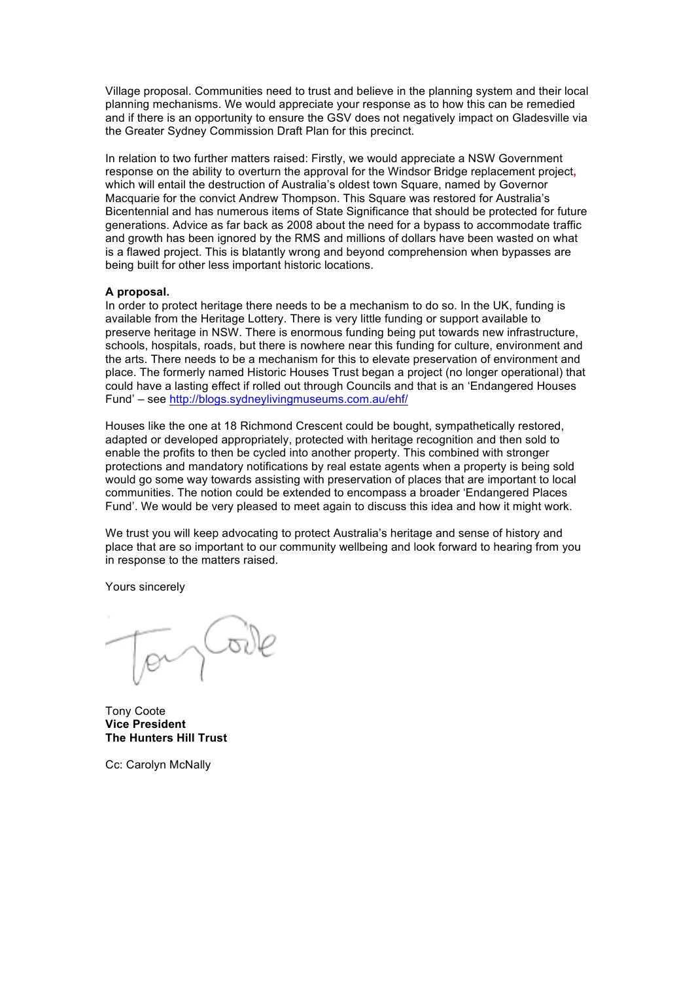Village proposal. Communities need to trust and believe in the planning system and their local planning mechanisms. We would appreciate your response as to how this can be remedied and if there is an opportunity to ensure the GSV does not negatively impact on Gladesville via the Greater Sydney Commission Draft Plan for this precinct.

In relation to two further matters raised: Firstly, we would appreciate a NSW Government response on the ability to overturn the approval for the Windsor Bridge replacement project**,** which will entail the destruction of Australia's oldest town Square, named by Governor Macquarie for the convict Andrew Thompson. This Square was restored for Australia's Bicentennial and has numerous items of State Significance that should be protected for future generations. Advice as far back as 2008 about the need for a bypass to accommodate traffic and growth has been ignored by the RMS and millions of dollars have been wasted on what is a flawed project. This is blatantly wrong and beyond comprehension when bypasses are being built for other less important historic locations.

## **A proposal.**

In order to protect heritage there needs to be a mechanism to do so. In the UK, funding is available from the Heritage Lottery. There is very little funding or support available to preserve heritage in NSW. There is enormous funding being put towards new infrastructure, schools, hospitals, roads, but there is nowhere near this funding for culture, environment and the arts. There needs to be a mechanism for this to elevate preservation of environment and place. The formerly named Historic Houses Trust began a project (no longer operational) that could have a lasting effect if rolled out through Councils and that is an 'Endangered Houses Fund' – see http://blogs.sydneylivingmuseums.com.au/ehf/

Houses like the one at 18 Richmond Crescent could be bought, sympathetically restored, adapted or developed appropriately, protected with heritage recognition and then sold to enable the profits to then be cycled into another property. This combined with stronger protections and mandatory notifications by real estate agents when a property is being sold would go some way towards assisting with preservation of places that are important to local communities. The notion could be extended to encompass a broader 'Endangered Places Fund'. We would be very pleased to meet again to discuss this idea and how it might work.

We trust you will keep advocating to protect Australia's heritage and sense of history and place that are so important to our community wellbeing and look forward to hearing from you in response to the matters raised.

Yours sincerely

Tony Coote **Vice President The Hunters Hill Trust**

Cc: Carolyn McNally